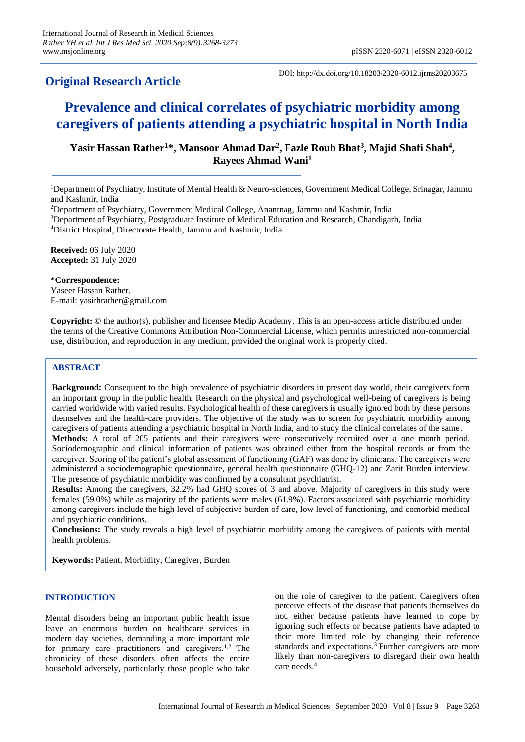# **Original Research Article**

DOI: http://dx.doi.org/10.18203/2320-6012.ijrms20203675

# **Prevalence and clinical correlates of psychiatric morbidity among caregivers of patients attending a psychiatric hospital in North India**

# **Yasir Hassan Rather<sup>1</sup>\*, Mansoor Ahmad Dar<sup>2</sup> , Fazle Roub Bhat<sup>3</sup> , Majid Shafi Shah<sup>4</sup> , Rayees Ahmad Wani<sup>1</sup>**

<sup>1</sup>Department of Psychiatry, Institute of Mental Health & Neuro-sciences, Government Medical College, Srinagar, Jammu and Kashmir, India

<sup>2</sup>Department of Psychiatry, Government Medical College, Anantnag, Jammu and Kashmir, India

<sup>3</sup>Department of Psychiatry, Postgraduate Institute of Medical Education and Research, Chandigarh, India <sup>4</sup>District Hospital, Directorate Health, Jammu and Kashmir, India

**Received:** 06 July 2020 **Accepted:** 31 July 2020

**\*Correspondence:** Yaseer Hassan Rather, E-mail: yasirhrather@gmail.com

**Copyright:** © the author(s), publisher and licensee Medip Academy. This is an open-access article distributed under the terms of the Creative Commons Attribution Non-Commercial License, which permits unrestricted non-commercial use, distribution, and reproduction in any medium, provided the original work is properly cited.

# **ABSTRACT**

**Background:** Consequent to the high prevalence of psychiatric disorders in present day world, their caregivers form an important group in the public health. Research on the physical and psychological well-being of caregivers is being carried worldwide with varied results. Psychological health of these caregivers is usually ignored both by these persons themselves and the health-care providers. The objective of the study was to screen for psychiatric morbidity among caregivers of patients attending a psychiatric hospital in North India, and to study the clinical correlates of the same. **Methods:** A total of 205 patients and their caregivers were consecutively recruited over a one month period. Sociodemographic and clinical information of patients was obtained either from the hospital records or from the caregiver. Scoring of the patient's global assessment of functioning (GAF) was done by clinicians. The caregivers were administered a sociodemographic questionnaire, general health questionnaire (GHQ-12) and Zarit Burden interview. The presence of psychiatric morbidity was confirmed by a consultant psychiatrist.

**Results:** Among the caregivers, 32.2% had GHQ scores of 3 and above. Majority of caregivers in this study were females (59.0%) while as majority of the patients were males (61.9%). Factors associated with psychiatric morbidity among caregivers include the high level of subjective burden of care, low level of functioning, and comorbid medical and psychiatric conditions.

**Conclusions:** The study reveals a high level of psychiatric morbidity among the caregivers of patients with mental health problems.

**Keywords:** Patient, Morbidity, Caregiver, Burden

# **INTRODUCTION**

Mental disorders being an important public health issue leave an enormous burden on healthcare services in modern day societies, demanding a more important role for primary care practitioners and caregivers.<sup>1,2</sup> The chronicity of these disorders often affects the entire household adversely, particularly those people who take on the role of caregiver to the patient. Caregivers often perceive effects of the disease that patients themselves do not, either because patients have learned to cope by ignoring such effects or because patients have adapted to their more limited role by changing their reference standards and expectations.<sup>3</sup> Further caregivers are more likely than non-caregivers to disregard their own health care needs.<sup>4</sup>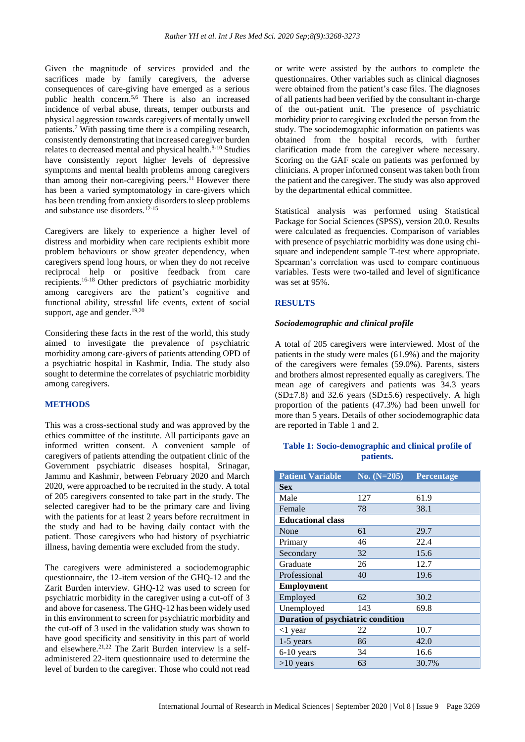Given the magnitude of services provided and the sacrifices made by family caregivers, the adverse consequences of care-giving have emerged as a serious public health concern.5,6 There is also an increased incidence of verbal abuse, threats, temper outbursts and physical aggression towards caregivers of mentally unwell patients.<sup>7</sup> With passing time there is a compiling research, consistently demonstrating that increased caregiver burden relates to decreased mental and physical health.<sup>8-10</sup> Studies have consistently report higher levels of depressive symptoms and mental health problems among caregivers than among their non-caregiving peers.<sup>11</sup> However there has been a varied symptomatology in care-givers which has been trending from anxiety disorders to sleep problems and substance use disorders.12-15

Caregivers are likely to experience a higher level of distress and morbidity when care recipients exhibit more problem behaviours or show greater dependency, when caregivers spend long hours, or when they do not receive reciprocal help or positive feedback from care recipients.16-18 Other predictors of psychiatric morbidity among caregivers are the patient's cognitive and functional ability, stressful life events, extent of social support, age and gender. $19,20$ 

Considering these facts in the rest of the world, this study aimed to investigate the prevalence of psychiatric morbidity among care-givers of patients attending OPD of a psychiatric hospital in Kashmir, India. The study also sought to determine the correlates of psychiatric morbidity among caregivers.

# **METHODS**

This was a cross-sectional study and was approved by the ethics committee of the institute. All participants gave an informed written consent. A convenient sample of caregivers of patients attending the outpatient clinic of the Government psychiatric diseases hospital, Srinagar, Jammu and Kashmir, between February 2020 and March 2020, were approached to be recruited in the study. A total of 205 caregivers consented to take part in the study. The selected caregiver had to be the primary care and living with the patients for at least 2 years before recruitment in the study and had to be having daily contact with the patient. Those caregivers who had history of psychiatric illness, having dementia were excluded from the study.

The caregivers were administered a sociodemographic questionnaire, the 12-item version of the GHQ-12 and the Zarit Burden interview. GHQ-12 was used to screen for psychiatric morbidity in the caregiver using a cut-off of 3 and above for caseness. The GHQ-12 has been widely used in this environment to screen for psychiatric morbidity and the cut-off of 3 used in the validation study was shown to have good specificity and sensitivity in this part of world and elsewhere.<sup>21,22</sup> The Zarit Burden interview is a selfadministered 22-item questionnaire used to determine the level of burden to the caregiver. Those who could not read or write were assisted by the authors to complete the questionnaires. Other variables such as clinical diagnoses were obtained from the patient's case files. The diagnoses of all patients had been verified by the consultant in-charge of the out-patient unit. The presence of psychiatric morbidity prior to caregiving excluded the person from the study. The sociodemographic information on patients was obtained from the hospital records, with further clarification made from the caregiver where necessary. Scoring on the GAF scale on patients was performed by clinicians. A proper informed consent was taken both from the patient and the caregiver. The study was also approved by the departmental ethical committee.

Statistical analysis was performed using Statistical Package for Social Sciences (SPSS), version 20.0. Results were calculated as frequencies. Comparison of variables with presence of psychiatric morbidity was done using chisquare and independent sample T-test where appropriate. Spearman's correlation was used to compare continuous variables. Tests were two-tailed and level of significance was set at 95%.

#### **RESULTS**

#### *Sociodemographic and clinical profile*

A total of 205 caregivers were interviewed. Most of the patients in the study were males (61.9%) and the majority of the caregivers were females (59.0%). Parents, sisters and brothers almost represented equally as caregivers. The mean age of caregivers and patients was 34.3 years  $(SD\pm7.8)$  and 32.6 years  $(SD\pm5.6)$  respectively. A high proportion of the patients (47.3%) had been unwell for more than 5 years. Details of other sociodemographic data are reported in Table 1 and 2.

# **Table 1: Socio-demographic and clinical profile of patients.**

| <b>Patient Variable</b>                  | No. $(N=205)$ | Percentage |  |  |
|------------------------------------------|---------------|------------|--|--|
| <b>Sex</b>                               |               |            |  |  |
| Male                                     | 127           | 61.9       |  |  |
| Female                                   | 78            | 38.1       |  |  |
| <b>Educational class</b>                 |               |            |  |  |
| None                                     | 61            | 29.7       |  |  |
| Primary                                  | 46            | 22.4       |  |  |
| Secondary                                | 32            | 15.6       |  |  |
| Graduate                                 | 26            | 12.7       |  |  |
| Professional                             | 40            | 19.6       |  |  |
| <b>Employment</b>                        |               |            |  |  |
| Employed                                 | 62            | 30.2       |  |  |
| Unemployed                               | 143           | 69.8       |  |  |
| <b>Duration of psychiatric condition</b> |               |            |  |  |
| $<$ 1 year                               | 22            | 10.7       |  |  |
| $1-5$ years                              | 86            | 42.0       |  |  |
| $6-10$ years                             | 34            | 16.6       |  |  |
| $>10$ years                              | 63            | 30.7%      |  |  |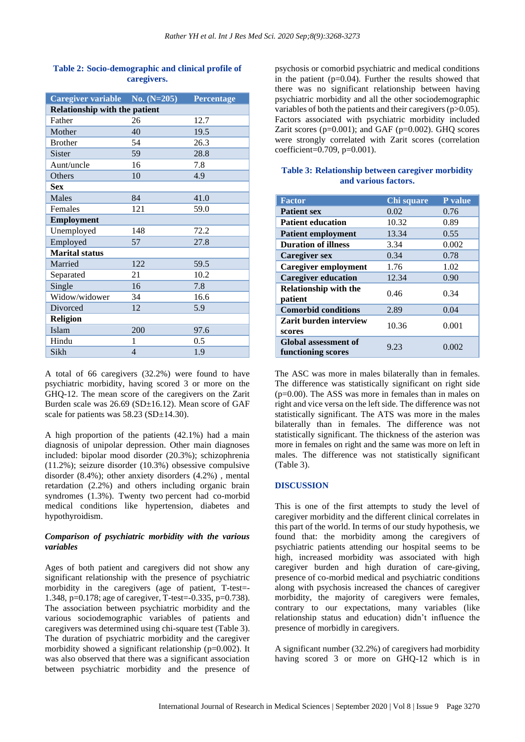| Caregiver variable No. (N=205)       |     | <b>Percentage</b> |  |  |  |
|--------------------------------------|-----|-------------------|--|--|--|
| <b>Relationship with the patient</b> |     |                   |  |  |  |
| Father                               | 26  | 12.7              |  |  |  |
| Mother                               | 40  | 19.5              |  |  |  |
| <b>Brother</b>                       | 54  | 26.3              |  |  |  |
| <b>Sister</b>                        | 59  | 28.8              |  |  |  |
| Aunt/uncle                           | 16  | 7.8               |  |  |  |
| Others                               | 10  | 4.9               |  |  |  |
| <b>Sex</b>                           |     |                   |  |  |  |
| <b>Males</b>                         | 84  | 41.0              |  |  |  |
| Females                              | 121 | 59.0              |  |  |  |
| <b>Employment</b>                    |     |                   |  |  |  |
| Unemployed                           | 148 | 72.2              |  |  |  |
| Employed                             | 57  | 27.8              |  |  |  |
| <b>Marital status</b>                |     |                   |  |  |  |
| Married                              | 122 | 59.5              |  |  |  |
| Separated                            | 21  | 10.2              |  |  |  |
| Single                               | 16  | 7.8               |  |  |  |
| Widow/widower                        | 34  | 16.6              |  |  |  |
| Divorced                             | 12  | 5.9               |  |  |  |
| <b>Religion</b>                      |     |                   |  |  |  |
| Islam                                | 200 | 97.6              |  |  |  |
| Hindu                                | 1   | 0.5               |  |  |  |
| Sikh                                 | 4   | 1.9               |  |  |  |

## **Table 2: Socio-demographic and clinical profile of caregivers.**

A total of 66 caregivers (32.2%) were found to have psychiatric morbidity, having scored 3 or more on the GHQ-12. The mean score of the caregivers on the Zarit Burden scale was 26.69 (SD±16.12). Mean score of GAF scale for patients was 58.23 (SD±14.30).

A high proportion of the patients (42.1%) had a main diagnosis of unipolar depression. Other main diagnoses included: bipolar mood disorder (20.3%); schizophrenia (11.2%); seizure disorder (10.3%) obsessive compulsive disorder (8.4%); other anxiety disorders (4.2%) , mental retardation (2.2%) and others including organic brain syndromes (1.3%). Twenty two percent had co-morbid medical conditions like hypertension, diabetes and hypothyroidism.

# *Comparison of psychiatric morbidity with the various variables*

Ages of both patient and caregivers did not show any significant relationship with the presence of psychiatric morbidity in the caregivers (age of patient, T-test=- 1.348, p=0.178; age of caregiver, T-test=-0.335, p=0.738). The association between psychiatric morbidity and the various sociodemographic variables of patients and caregivers was determined using chi-square test (Table 3). The duration of psychiatric morbidity and the caregiver morbidity showed a significant relationship (p=0.002). It was also observed that there was a significant association between psychiatric morbidity and the presence of psychosis or comorbid psychiatric and medical conditions in the patient  $(p=0.04)$ . Further the results showed that there was no significant relationship between having psychiatric morbidity and all the other sociodemographic variables of both the patients and their caregivers (p>0.05). Factors associated with psychiatric morbidity included Zarit scores ( $p=0.001$ ); and GAF ( $p=0.002$ ). GHQ scores were strongly correlated with Zarit scores (correlation coefficient=0.709, p=0.001).

#### **Table 3: Relationship between caregiver morbidity and various factors.**

| <b>Factor</b>                                     | Chi square | P value |
|---------------------------------------------------|------------|---------|
| <b>Patient sex</b>                                | 0.02       | 0.76    |
| <b>Patient education</b>                          | 10.32      | 0.89    |
| <b>Patient employment</b>                         | 13.34      | 0.55    |
| <b>Duration of illness</b>                        | 3.34       | 0.002   |
| <b>Caregiver sex</b>                              | 0.34       | 0.78    |
| <b>Caregiver employment</b>                       | 1.76       | 1.02    |
| <b>Caregiver education</b>                        | 12.34      | 0.90    |
| <b>Relationship with the</b><br>patient           | 0.46       | 0.34    |
| <b>Comorbid conditions</b>                        | 2.89       | 0.04    |
| Zarit burden interview<br>scores                  | 10.36      | 0.001   |
| <b>Global assessment of</b><br>functioning scores | 9.23       | 0.002   |

The ASC was more in males bilaterally than in females. The difference was statistically significant on right side (p=0.00). The ASS was more in females than in males on right and vice versa on the left side. The difference was not statistically significant. The ATS was more in the males bilaterally than in females. The difference was not statistically significant. The thickness of the asterion was more in females on right and the same was more on left in males. The difference was not statistically significant (Table 3).

# **DISCUSSION**

This is one of the first attempts to study the level of caregiver morbidity and the different clinical correlates in this part of the world. In terms of our study hypothesis, we found that: the morbidity among the caregivers of psychiatric patients attending our hospital seems to be high, increased morbidity was associated with high caregiver burden and high duration of care-giving, presence of co-morbid medical and psychiatric conditions along with psychosis increased the chances of caregiver morbidity, the majority of caregivers were females, contrary to our expectations, many variables (like relationship status and education) didn't influence the presence of morbidly in caregivers.

A significant number (32.2%) of caregivers had morbidity having scored 3 or more on GHQ-12 which is in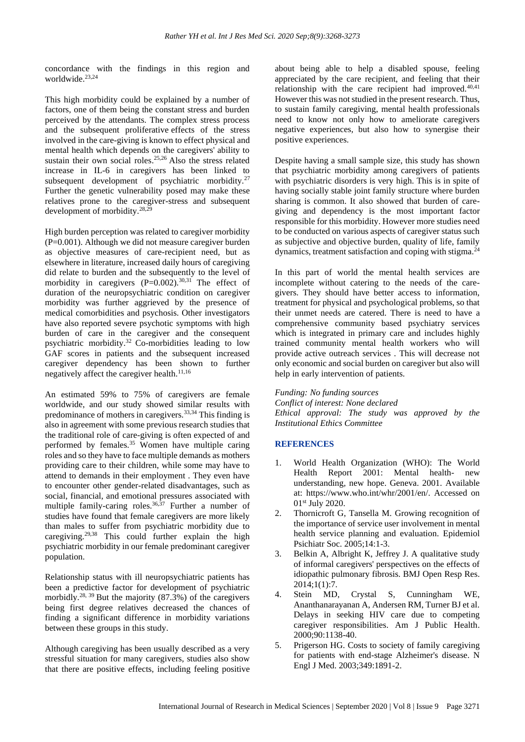concordance with the findings in this region and worldwide. 23,24

This high morbidity could be explained by a number of factors, one of them being the constant stress and burden perceived by the attendants. The complex stress process and the subsequent proliferative effects of the stress involved in the care-giving is known to effect physical and mental health which depends on the caregivers' ability to sustain their own social roles. 25,26 Also the stress related increase in IL-6 in caregivers has been linked to subsequent development of psychiatric morbidity. $27$ Further the genetic vulnerability posed may make these relatives prone to the caregiver-stress and subsequent development of morbidity.28,29

High burden perception was related to caregiver morbidity (P=0.001). Although we did not measure caregiver burden as objective measures of care-recipient need, but as elsewhere in literature, increased daily hours of caregiving did relate to burden and the subsequently to the level of morbidity in caregivers  $(P=0.002)$ .<sup>30,31</sup> The effect of duration of the neuropsychiatric condition on caregiver morbidity was further aggrieved by the presence of medical comorbidities and psychosis. Other investigators have also reported severe psychotic symptoms with high burden of care in the caregiver and the consequent psychiatric morbidity.<sup>32</sup> Co-morbidities leading to low GAF scores in patients and the subsequent increased caregiver dependency has been shown to further negatively affect the caregiver health. $11,16$ 

An estimated 59% to 75% of caregivers are female worldwide, and our study showed similar results with predominance of mothers in caregivers.33,34 This finding is also in agreement with some previous research studies that the traditional role of care-giving is often expected of and performed by females.<sup>35</sup> Women have multiple caring roles and so they have to face multiple demands as mothers providing care to their children, while some may have to attend to demands in their employment . They even have to encounter other gender-related disadvantages, such as social, financial, and emotional pressures associated with multiple family-caring roles.<sup>36,37</sup> Further a number of studies have found that female caregivers are more likely than males to suffer from psychiatric morbidity due to caregiving.29,38 This could further explain the high psychiatric morbidity in our female predominant caregiver population.

Relationship status with ill neuropsychiatric patients has been a predictive factor for development of psychiatric morbidly.<sup>28, 39</sup> But the majority  $(87.3\%)$  of the caregivers being first degree relatives decreased the chances of finding a significant difference in morbidity variations between these groups in this study.

Although caregiving has been usually described as a very stressful situation for many caregivers, studies also show that there are positive effects, including feeling positive about being able to help a disabled spouse, feeling appreciated by the care recipient, and feeling that their relationship with the care recipient had improved.<sup>40,41</sup> However this was not studied in the present research. Thus, to sustain family caregiving, mental health professionals need to know not only how to ameliorate caregivers negative experiences, but also how to synergise their positive experiences.

Despite having a small sample size, this study has shown that psychiatric morbidity among caregivers of patients with psychiatric disorders is very high. This is in spite of having socially stable joint family structure where burden sharing is common. It also showed that burden of caregiving and dependency is the most important factor responsible for this morbidity. However more studies need to be conducted on various aspects of caregiver status such as subjective and objective burden, quality of life, family dynamics, treatment satisfaction and coping with stigma.<sup>24</sup>

In this part of world the mental health services are incomplete without catering to the needs of the caregivers. They should have better access to information, treatment for physical and psychological problems, so that their unmet needs are catered. There is need to have a comprehensive community based psychiatry services which is integrated in primary care and includes highly trained community mental health workers who will provide active outreach services . This will decrease not only economic and social burden on caregiver but also will help in early intervention of patients.

*Funding: No funding sources Conflict of interest: None declared Ethical approval: The study was approved by the Institutional Ethics Committee*

#### **REFERENCES**

- 1. World Health Organization (WHO): The World Health Report 2001: Mental health- new understanding, new hope. Geneva. 2001. Available at: https://www.who.int/whr/2001/en/. Accessed on 01st July 2020.
- 2. Thornicroft G, Tansella M. Growing recognition of the importance of service user involvement in mental health service planning and evaluation. Epidemiol Psichiatr Soc. 2005;14:1-3.
- 3. Belkin A, Albright K, Jeffrey J. A qualitative study of informal caregivers' perspectives on the effects of idiopathic pulmonary fibrosis. BMJ Open Resp Res.  $2014:1(1):7.$
- 4. Stein MD, Crystal S, Cunningham WE, Ananthanarayanan A, Andersen RM, Turner BJ et al. Delays in seeking HIV care due to competing caregiver responsibilities. Am J Public Health. 2000;90:1138-40.
- 5. Prigerson HG. Costs to society of family caregiving for patients with end-stage Alzheimer's disease. N Engl J Med. 2003;349:1891-2.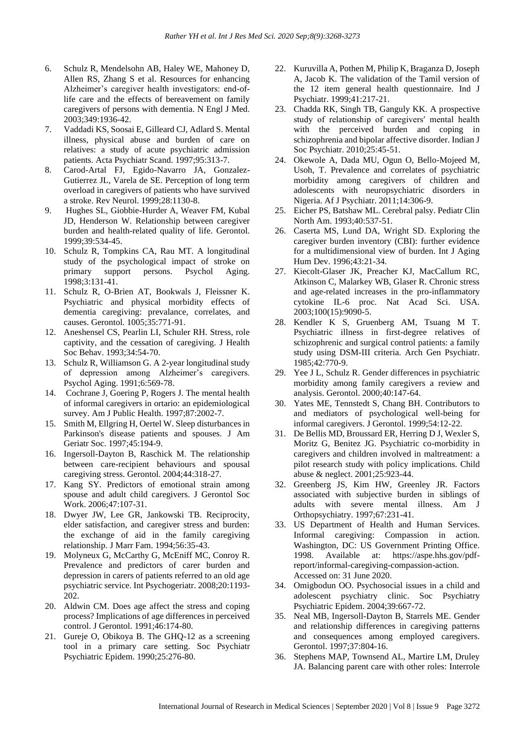- 6. Schulz R, Mendelsohn AB, Haley WE, Mahoney D, Allen RS, Zhang S et al. Resources for enhancing Alzheimer's caregiver health investigators: end-oflife care and the effects of bereavement on family caregivers of persons with dementia. N Engl J Med. 2003;349:1936-42.
- 7. Vaddadi KS, Soosai E, Gilleard CJ, Adlard S. Mental illness, physical abuse and burden of care on relatives: a study of acute psychiatric admission patients. Acta Psychiatr Scand. 1997;95:313-7.
- 8. Carod-Artal FJ, Egido-Navarro JA, Gonzalez-Gutierrez JL, Varela de SE. Perception of long term overload in caregivers of patients who have survived a stroke. Rev Neurol. 1999;28:1130-8.
- 9. Hughes SL, Giobbie-Hurder A, Weaver FM, Kubal JD, Henderson W. Relationship between caregiver burden and health-related quality of life. Gerontol. 1999;39:534-45.
- 10. Schulz R, Tompkins CA, Rau MT. A longitudinal study of the psychological impact of stroke on primary support persons. Psychol Aging. 1998;3:131-41.
- 11. Schulz R, O-Brien AT, Bookwals J, Fleissner K. Psychiatric and physical morbidity effects of dementia caregiving: prevalance, correlates, and causes. Gerontol. 1005;35:771-91.
- 12. Aneshensel CS, Pearlin LI, Schuler RH. Stress, role captivity, and the cessation of caregiving. J Health Soc Behav. 1993;34:54-70.
- 13. Schulz R, Williamson G. A 2-year longitudinal study of depression among Alzheimer's caregivers. Psychol Aging. 1991;6:569-78.
- 14. Cochrane J, Goering P, Rogers J. The mental health of informal caregivers in ortario: an epidemiological survey. Am J Public Health. 1997;87:2002-7.
- 15. Smith M, Ellgring H, Oertel W. Sleep disturbances in Parkinson's disease patients and spouses. J Am Geriatr Soc. 1997;45:194-9.
- 16. Ingersoll-Dayton B, Raschick M. The relationship between care-recipient behaviours and spousal caregiving stress. Gerontol. 2004;44:318-27.
- 17. Kang SY. Predictors of emotional strain among spouse and adult child caregivers. J Gerontol Soc Work. 2006;47:107-31.
- 18. Dwyer JW, Lee GR, Jankowski TB. Reciprocity, elder satisfaction, and caregiver stress and burden: the exchange of aid in the family caregiving relationship. J Marr Fam. 1994;56:35-43.
- 19. Molyneux G, McCarthy G, McEniff MC, Conroy R. Prevalence and predictors of carer burden and depression in carers of patients referred to an old age psychiatric service. Int Psychogeriatr. 2008;20:1193- 202.
- 20. Aldwin CM. Does age affect the stress and coping process? Implications of age differences in perceived control. J Gerontol. 1991;46:174-80.
- 21. Gureje O, Obikoya B. The GHQ-12 as a screening tool in a primary care setting. Soc Psychiatr Psychiatric Epidem. 1990;25:276-80.
- 22. Kuruvilla A, Pothen M, Philip K, Braganza D, Joseph A, Jacob K. The validation of the Tamil version of the 12 item general health questionnaire. Ind J Psychiatr. 1999;41:217-21.
- 23. Chadda RK, Singh TB, Ganguly KK. A prospective study of relationship of caregivers′ mental health with the perceived burden and coping in schizophrenia and bipolar affective disorder. Indian J Soc Psychiatr. 2010;25:45-51.
- 24. Okewole A, Dada MU, Ogun O, Bello-Mojeed M, Usoh, T. Prevalence and correlates of psychiatric morbidity among caregivers of children and adolescents with neuropsychiatric disorders in Nigeria. Af J Psychiatr. 2011;14:306-9.
- 25. Eicher PS, Batshaw ML. Cerebral palsy. Pediatr Clin North Am. 1993;40:537-51.
- 26. Caserta MS, Lund DA, Wright SD. Exploring the caregiver burden inventory (CBI): further evidence for a multidimensional view of burden. Int J Aging Hum Dev. 1996;43:21-34.
- 27. Kiecolt-Glaser JK, Preacher KJ, MacCallum RC, Atkinson C, Malarkey WB, Glaser R. Chronic stress and age-related increases in the pro-inflammatory cytokine IL-6 proc. Nat Acad Sci. USA. 2003;100(15):9090-5.
- 28. Kendler K S, Gruenberg AM, Tsuang M T. Psychiatric illness in first-degree relatives of schizophrenic and surgical control patients: a family study using DSM-III criteria. Arch Gen Psychiatr. 1985;42:770-9.
- 29. Yee J L, Schulz R. Gender differences in psychiatric morbidity among family caregivers a review and analysis. Gerontol. 2000;40:147-64.
- 30. Yates ME, Tennstedt S, Chang BH. Contributors to and mediators of psychological well-being for informal caregivers. J Gerontol. 1999;54:12-22.
- 31. De Bellis MD, Broussard ER, Herring D J, Wexler S, Moritz G, Benitez JG. Psychiatric co-morbidity in caregivers and children involved in maltreatment: a pilot research study with policy implications. Child abuse & neglect. 2001;25:923-44.
- 32. Greenberg JS, Kim HW, Greenley JR. Factors associated with subjective burden in siblings of adults with severe mental illness. Am J Orthopsychiatry. 1997;67:231-41.
- 33. US Department of Health and Human Services. Informal caregiving: Compassion in action. Washington, DC: US Government Printing Office. 1998. Available at: https://aspe.hhs.gov/pdfreport/informal-caregiving-compassion-action. Accessed on: 31 June 2020.
- 34. Omigbodun OO. Psychosocial issues in a child and adolescent psychiatry clinic. Soc Psychiatry Psychiatric Epidem. 2004;39:667-72.
- 35. Neal MB, Ingersoll-Dayton B, Starrels ME. Gender and relationship differences in caregiving patterns and consequences among employed caregivers. Gerontol. 1997;37:804-16.
- 36. Stephens MAP, Townsend AL, Martire LM, Druley JA. Balancing parent care with other roles: Interrole